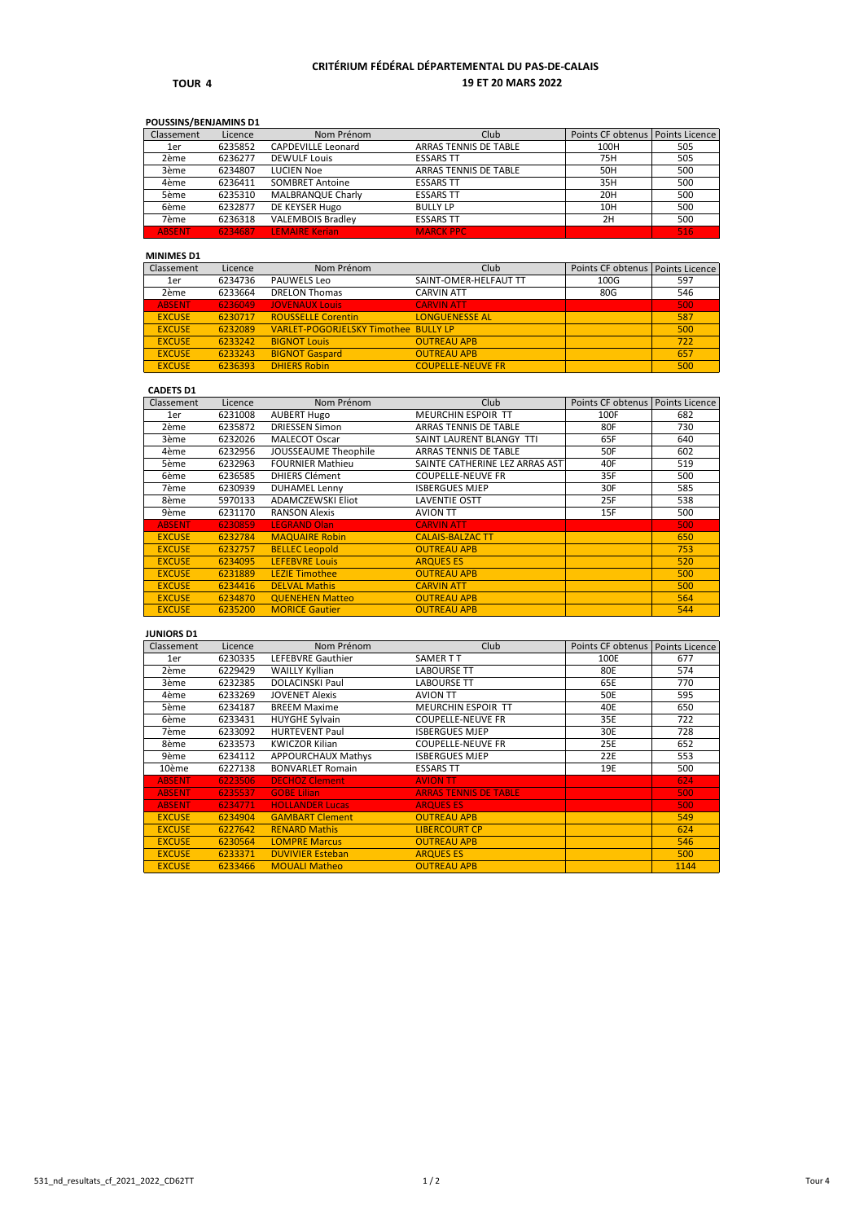#### **TOUR 4**

# **CRITÉRIUM FÉDÉRAL DÉPARTEMENTAL DU PAS-DE-CALAIS 19 ET 20 MARS 2022**

## **POUSSINS/BENJAMINS D1**

| Classement    | Licence | Nom Prénom                | Club                  | Points CF obtenus   Points Licence |     |
|---------------|---------|---------------------------|-----------------------|------------------------------------|-----|
| 1er           | 6235852 | <b>CAPDEVILLE Leonard</b> | ARRAS TENNIS DE TABLE | 100H                               | 505 |
| 2ème          | 6236277 | <b>DEWULF Louis</b>       | <b>ESSARS TT</b>      | 75H                                | 505 |
| 3ème          | 6234807 | LUCIEN Noe                | ARRAS TENNIS DE TABLE | 50H                                | 500 |
| 4ème          | 6236411 | <b>SOMBRET Antoine</b>    | <b>ESSARS TT</b>      | 35H                                | 500 |
| 5ème          | 6235310 | <b>MALBRANQUE Charly</b>  | <b>ESSARS TT</b>      | 20H                                | 500 |
| 6ème          | 6232877 | DE KEYSER Hugo            | <b>BULLY LP</b>       | 10H                                | 500 |
| 7ème          | 6236318 | <b>VALEMBOIS Bradlev</b>  | <b>ESSARS TT</b>      | 2H                                 | 500 |
| <b>ABSENT</b> | 6234687 | <b>LEMAIRE Kerian</b>     | <b>MARCK PPC</b>      |                                    | 516 |

#### **MINIMES D1**

| Classement    | Licence | Nom Prénom                           | Club                     | Points CF obtenus | <b>Points Licence</b> |
|---------------|---------|--------------------------------------|--------------------------|-------------------|-----------------------|
| 1er           | 6234736 | <b>PAUWELS Leo</b>                   | SAINT-OMER-HELFAUT TT    | 100G              | 597                   |
| 2ème          | 6233664 | <b>DRELON Thomas</b>                 | <b>CARVIN ATT</b>        | 80G               | 546                   |
| <b>ABSENT</b> | 6236049 | <b>JOVENAUX Louis</b>                | <b>CARVIN ATT</b>        |                   | 500                   |
| <b>EXCUSE</b> | 6230717 | <b>ROUSSELLE Corentin</b>            | <b>LONGUENESSE AL</b>    |                   | 587                   |
| <b>EXCUSE</b> | 6232089 | VARLET-POGORJELSKY Timothee BULLY LP |                          |                   | 500                   |
| <b>EXCUSE</b> | 6233242 | <b>BIGNOT Louis</b>                  | <b>OUTREAU APB</b>       |                   | 722                   |
| <b>EXCUSE</b> | 6233243 | <b>BIGNOT Gaspard</b>                | <b>OUTREAU APB</b>       |                   | 657                   |
| <b>EXCUSE</b> | 6236393 | <b>DHIERS Robin</b>                  | <b>COUPELLE-NEUVE FR</b> |                   | 500                   |

# **CADETS D1**

| Classement    | Licence | Nom Prénom                  | Club                           | Points CF obtenus | Points Licence |
|---------------|---------|-----------------------------|--------------------------------|-------------------|----------------|
| 1er           | 6231008 | <b>AUBERT Hugo</b>          | <b>MEURCHIN ESPOIR TT</b>      | 100F              | 682            |
| 2ème          | 6235872 | <b>DRIESSEN Simon</b>       | ARRAS TENNIS DE TABLE          | 80F               | 730            |
| 3ème          | 6232026 | <b>MALECOT Oscar</b>        | SAINT LAURENT BLANGY TTI       | 65F               | 640            |
| 4ème          | 6232956 | <b>JOUSSEAUME Theophile</b> | ARRAS TENNIS DE TABLE          | 50F               | 602            |
| 5ème          | 6232963 | <b>FOURNIER Mathieu</b>     | SAINTE CATHERINE LEZ ARRAS AST | 40F               | 519            |
| 6ème          | 6236585 | <b>DHIERS Clément</b>       | <b>COUPELLE-NEUVE FR</b>       | 35F               | 500            |
| 7ème          | 6230939 | <b>DUHAMEL Lenny</b>        | <b>ISBERGUES MJEP</b>          | 30F               | 585            |
| 8ème          | 5970133 | <b>ADAMCZEWSKI Eliot</b>    | <b>LAVENTIE OSTT</b>           | 25F               | 538            |
| 9ème          | 6231170 | <b>RANSON Alexis</b>        | <b>AVION TT</b>                | 15F               | 500            |
| <b>ABSENT</b> | 6230859 | <b>LEGRAND Olan</b>         | <b>CARVIN ATT</b>              |                   | 500            |
| <b>EXCUSE</b> | 6232784 | <b>MAQUAIRE Robin</b>       | <b>CALAIS-BALZAC TT</b>        |                   | 650            |
| <b>EXCUSE</b> | 6232757 | <b>BELLEC Leopold</b>       | <b>OUTREAU APB</b>             |                   | 753            |
| <b>EXCUSE</b> | 6234095 | <b>LEFEBVRE Louis</b>       | <b>ARQUES ES</b>               |                   | 520            |
| <b>EXCUSE</b> | 6231889 | <b>LEZIE Timothee</b>       | <b>OUTREAU APB</b>             |                   | 500            |
| <b>EXCUSE</b> | 6234416 | <b>DELVAL Mathis</b>        | <b>CARVIN ATT</b>              |                   | 500            |
| <b>EXCUSE</b> | 6234870 | <b>QUENEHEN Matteo</b>      | <b>OUTREAU APB</b>             |                   | 564            |
| <b>EXCUSE</b> | 6235200 | <b>MORICE Gautier</b>       | <b>OUTREAU APB</b>             |                   | 544            |

**JUNIORS D1**

| Classement    | Licence | Nom Prénom               | Club                         | Points CF obtenus   Points Licence |      |
|---------------|---------|--------------------------|------------------------------|------------------------------------|------|
| 1er           | 6230335 | <b>LEFEBVRE Gauthier</b> | SAMER T T                    | 100E                               | 677  |
| 2ème          | 6229429 | <b>WAILLY Kyllian</b>    | <b>LABOURSE TT</b>           | 80E                                | 574  |
| 3ème          | 6232385 | <b>DOLACINSKI Paul</b>   | <b>LABOURSE TT</b>           | 65E                                | 770  |
| 4ème          | 6233269 | <b>JOVENET Alexis</b>    | <b>AVION TT</b>              | 50E                                | 595  |
| 5ème          | 6234187 | <b>BREEM Maxime</b>      | <b>MEURCHIN ESPOIR TT</b>    | 40E                                | 650  |
| 6ème          | 6233431 | <b>HUYGHE Sylvain</b>    | <b>COUPELLE-NEUVE FR</b>     | 35E                                | 722  |
| 7ème          | 6233092 | <b>HURTEVENT Paul</b>    | <b>ISBERGUES MJEP</b>        | 30E                                | 728  |
| 8ème          | 6233573 | <b>KWICZOR Kilian</b>    | <b>COUPELLE-NEUVE FR</b>     | 25E                                | 652  |
| 9ème          | 6234112 | APPOURCHAUX Mathys       | <b>ISBERGUES MJEP</b>        | 22E                                | 553  |
| 10ème         | 6227138 | <b>BONVARLET Romain</b>  | <b>ESSARS TT</b>             | 19E                                | 500  |
| <b>ABSENT</b> | 6223506 | <b>DECHOZ Clement</b>    | <b>AVION TT</b>              |                                    | 624  |
| <b>ABSENT</b> | 6235537 | <b>GOBE Lilian</b>       | <b>ARRAS TENNIS DE TABLE</b> |                                    | 500  |
| <b>ABSENT</b> | 6234771 | <b>HOLLANDER Lucas</b>   | <b>ARQUES ES</b>             |                                    | 500  |
| <b>EXCUSE</b> | 6234904 | <b>GAMBART Clement</b>   | <b>OUTREAU APB</b>           |                                    | 549  |
| <b>EXCUSE</b> | 6227642 | <b>RENARD Mathis</b>     | <b>LIBERCOURT CP</b>         |                                    | 624  |
| <b>EXCUSE</b> | 6230564 | <b>LOMPRE Marcus</b>     | <b>OUTREAU APB</b>           |                                    | 546  |
| <b>EXCUSE</b> | 6233371 | <b>DUVIVIER Esteban</b>  | <b>ARQUES ES</b>             |                                    | 500  |
| <b>EXCUSE</b> | 6233466 | <b>MOUALI Matheo</b>     | <b>OUTREAU APB</b>           |                                    | 1144 |